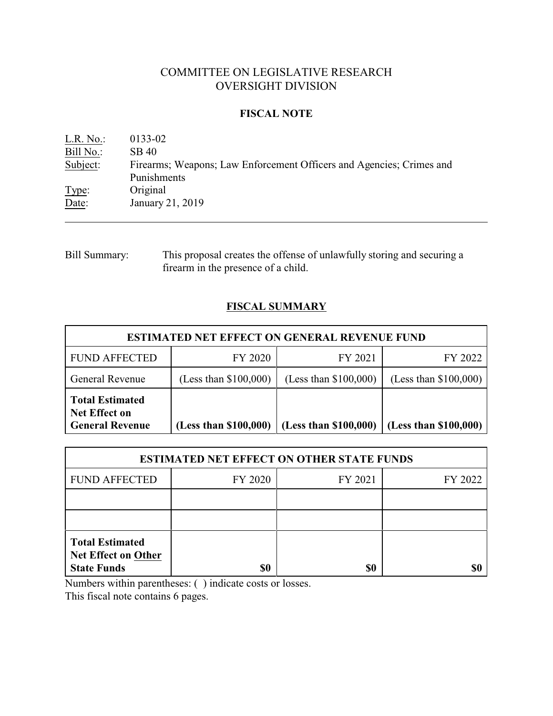## COMMITTEE ON LEGISLATIVE RESEARCH OVERSIGHT DIVISION

## **FISCAL NOTE**

| L.R. No.: | 0133-02                                                              |
|-----------|----------------------------------------------------------------------|
| Bill No.: | SB 40                                                                |
| Subject:  | Firearms; Weapons; Law Enforcement Officers and Agencies; Crimes and |
|           | Punishments                                                          |
| Type:     | Original                                                             |
| Date:     | January 21, 2019                                                     |
|           |                                                                      |

## Bill Summary: This proposal creates the offense of unlawfully storing and securing a firearm in the presence of a child.

# **FISCAL SUMMARY**

| <b>ESTIMATED NET EFFECT ON GENERAL REVENUE FUND</b>                      |                         |                         |                         |  |  |
|--------------------------------------------------------------------------|-------------------------|-------------------------|-------------------------|--|--|
| <b>FUND AFFECTED</b>                                                     | FY 2020                 | FY 2021                 | FY 2022                 |  |  |
| General Revenue                                                          | (Less than $$100,000$ ) | (Less than $$100,000$ ) | (Less than $$100,000$ ) |  |  |
| <b>Total Estimated</b><br><b>Net Effect on</b><br><b>General Revenue</b> | (Less than \$100,000)   | (Less than \$100,000)   | (Less than \$100,000)   |  |  |

| <b>ESTIMATED NET EFFECT ON OTHER STATE FUNDS</b>                           |         |         |         |  |  |
|----------------------------------------------------------------------------|---------|---------|---------|--|--|
| <b>FUND AFFECTED</b>                                                       | FY 2020 | FY 2021 | FY 2022 |  |  |
|                                                                            |         |         |         |  |  |
|                                                                            |         |         |         |  |  |
| <b>Total Estimated</b><br><b>Net Effect on Other</b><br><b>State Funds</b> | \$0     | \$0     |         |  |  |

Numbers within parentheses: ( ) indicate costs or losses.

This fiscal note contains 6 pages.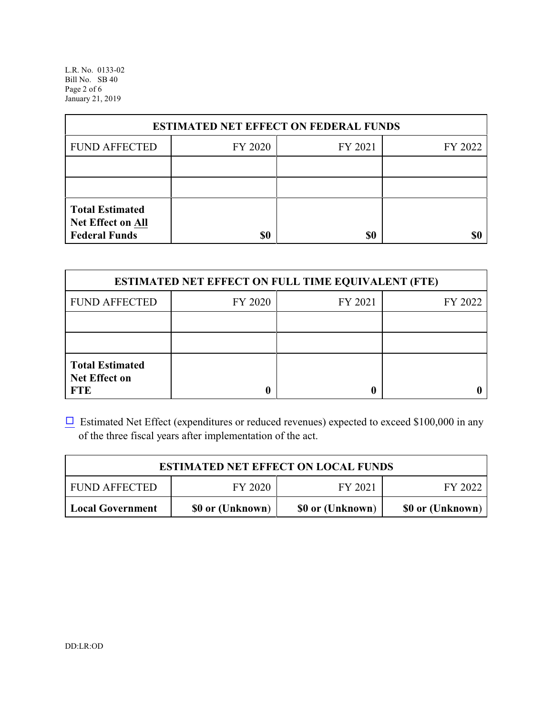L.R. No. 0133-02 Bill No. SB 40 Page 2 of 6 January 21, 2019

| <b>ESTIMATED NET EFFECT ON FEDERAL FUNDS</b>                        |         |         |         |  |  |
|---------------------------------------------------------------------|---------|---------|---------|--|--|
| <b>FUND AFFECTED</b>                                                | FY 2020 | FY 2021 | FY 2022 |  |  |
|                                                                     |         |         |         |  |  |
|                                                                     |         |         |         |  |  |
| <b>Total Estimated</b><br>Net Effect on All<br><b>Federal Funds</b> | \$0     | \$0     |         |  |  |

| <b>ESTIMATED NET EFFECT ON FULL TIME EQUIVALENT (FTE)</b>    |         |         |         |  |  |
|--------------------------------------------------------------|---------|---------|---------|--|--|
| <b>FUND AFFECTED</b>                                         | FY 2020 | FY 2021 | FY 2022 |  |  |
|                                                              |         |         |         |  |  |
|                                                              |         |         |         |  |  |
| <b>Total Estimated</b><br><b>Net Effect on</b><br><b>FTE</b> |         |         |         |  |  |

 $\Box$  Estimated Net Effect (expenditures or reduced revenues) expected to exceed \$100,000 in any of the three fiscal years after implementation of the act.

| <b>ESTIMATED NET EFFECT ON LOCAL FUNDS</b> |                  |                  |                  |  |  |
|--------------------------------------------|------------------|------------------|------------------|--|--|
| FY 2020<br>FY 2021<br><b>FUND AFFECTED</b> |                  |                  |                  |  |  |
| <b>Local Government</b>                    | \$0 or (Unknown) | \$0 or (Unknown) | \$0 or (Unknown) |  |  |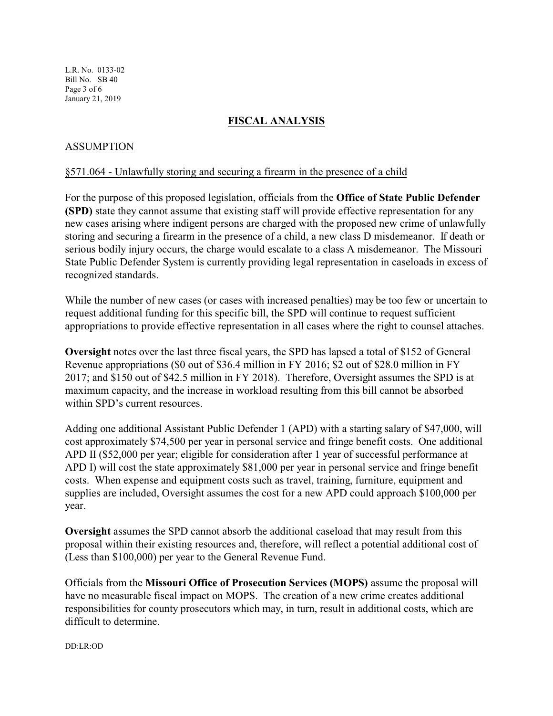L.R. No. 0133-02 Bill No. SB 40 Page 3 of 6 January 21, 2019

## **FISCAL ANALYSIS**

## ASSUMPTION

### §571.064 - Unlawfully storing and securing a firearm in the presence of a child

For the purpose of this proposed legislation, officials from the **Office of State Public Defender (SPD)** state they cannot assume that existing staff will provide effective representation for any new cases arising where indigent persons are charged with the proposed new crime of unlawfully storing and securing a firearm in the presence of a child, a new class D misdemeanor. If death or serious bodily injury occurs, the charge would escalate to a class A misdemeanor. The Missouri State Public Defender System is currently providing legal representation in caseloads in excess of recognized standards.

While the number of new cases (or cases with increased penalties) may be too few or uncertain to request additional funding for this specific bill, the SPD will continue to request sufficient appropriations to provide effective representation in all cases where the right to counsel attaches.

**Oversight** notes over the last three fiscal years, the SPD has lapsed a total of \$152 of General Revenue appropriations (\$0 out of \$36.4 million in FY 2016; \$2 out of \$28.0 million in FY 2017; and \$150 out of \$42.5 million in FY 2018). Therefore, Oversight assumes the SPD is at maximum capacity, and the increase in workload resulting from this bill cannot be absorbed within SPD's current resources.

Adding one additional Assistant Public Defender 1 (APD) with a starting salary of \$47,000, will cost approximately \$74,500 per year in personal service and fringe benefit costs. One additional APD II (\$52,000 per year; eligible for consideration after 1 year of successful performance at APD I) will cost the state approximately \$81,000 per year in personal service and fringe benefit costs. When expense and equipment costs such as travel, training, furniture, equipment and supplies are included, Oversight assumes the cost for a new APD could approach \$100,000 per year.

**Oversight** assumes the SPD cannot absorb the additional caseload that may result from this proposal within their existing resources and, therefore, will reflect a potential additional cost of (Less than \$100,000) per year to the General Revenue Fund.

Officials from the **Missouri Office of Prosecution Services (MOPS)** assume the proposal will have no measurable fiscal impact on MOPS. The creation of a new crime creates additional responsibilities for county prosecutors which may, in turn, result in additional costs, which are difficult to determine.

DD:LR:OD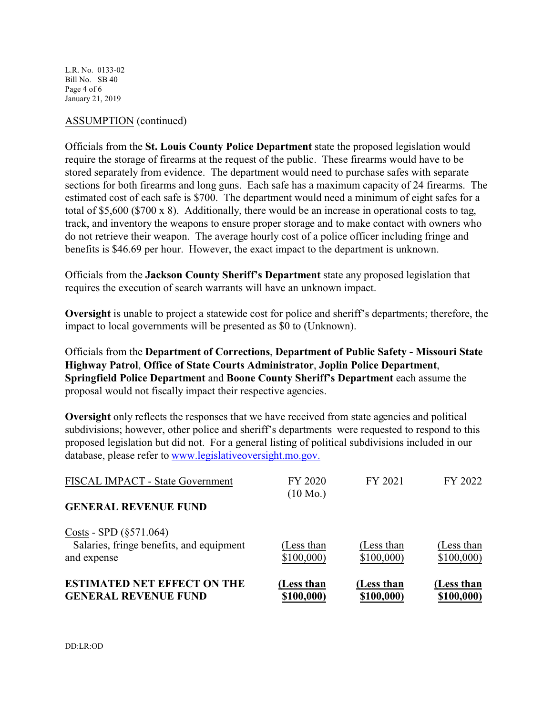L.R. No. 0133-02 Bill No. SB 40 Page 4 of 6 January 21, 2019

#### ASSUMPTION (continued)

Officials from the **St. Louis County Police Department** state the proposed legislation would require the storage of firearms at the request of the public. These firearms would have to be stored separately from evidence. The department would need to purchase safes with separate sections for both firearms and long guns. Each safe has a maximum capacity of 24 firearms. The estimated cost of each safe is \$700. The department would need a minimum of eight safes for a total of \$5,600 (\$700 x 8). Additionally, there would be an increase in operational costs to tag, track, and inventory the weapons to ensure proper storage and to make contact with owners who do not retrieve their weapon. The average hourly cost of a police officer including fringe and benefits is \$46.69 per hour. However, the exact impact to the department is unknown.

Officials from the **Jackson County Sheriff's Department** state any proposed legislation that requires the execution of search warrants will have an unknown impact.

**Oversight** is unable to project a statewide cost for police and sheriff's departments; therefore, the impact to local governments will be presented as \$0 to (Unknown).

Officials from the **Department of Corrections**, **Department of Public Safety - Missouri State Highway Patrol**, **Office of State Courts Administrator**, **Joplin Police Department**, **Springfield Police Department** and **Boone County Sheriff's Department** each assume the proposal would not fiscally impact their respective agencies.

**Oversight** only reflects the responses that we have received from state agencies and political subdivisions; however, other police and sheriff's departments were requested to respond to this proposed legislation but did not. For a general listing of political subdivisions included in our database, please refer to [www.legislativeoversight.mo.gov.](http://www.legislativeoversight.mo.gov.)

| <b>ESTIMATED NET EFFECT ON THE</b><br><b>GENERAL REVENUE FUND</b>                     | (Less than<br>\$100,000) | (Less than<br>\$100,000) | (Less than<br>\$100,000) |
|---------------------------------------------------------------------------------------|--------------------------|--------------------------|--------------------------|
| Costs - SPD $(\S 571.064)$<br>Salaries, fringe benefits, and equipment<br>and expense | (Less than<br>\$100,000  | (Less than<br>\$100,000  | (Less than<br>\$100,000  |
| <b>GENERAL REVENUE FUND</b>                                                           | $(10 \text{ Mo.})$       |                          |                          |
| FISCAL IMPACT - State Government                                                      | FY 2020                  | FY 2021                  | FY 2022                  |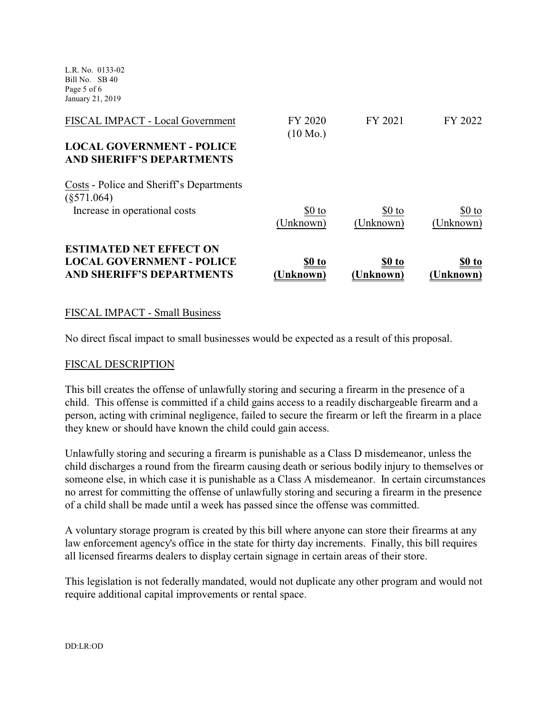L.R. No. 0133-02 Bill No. SB 40 Page 5 of 6 January 21, 2019

| <b>ESTIMATED NET EFFECT ON</b><br><b>LOCAL GOVERNMENT - POLICE</b><br><b>AND SHERIFF'S DEPARTMENTS</b>   | <u>\$0 to</u><br>[Unknown]    | \$0 to<br>(Unknown)  | \$0 to<br>(Unknown)  |
|----------------------------------------------------------------------------------------------------------|-------------------------------|----------------------|----------------------|
| Costs - Police and Sheriff's Departments<br>$(\$571.064)$<br>Increase in operational costs               | \$0 to<br>(Unknown)           | $$0$ to<br>(Unknown) | $$0$ to<br>(Unknown) |
| FISCAL IMPACT - Local Government<br><b>LOCAL GOVERNMENT - POLICE</b><br><b>AND SHERIFF'S DEPARTMENTS</b> | FY 2020<br>$(10 \text{ Mo.})$ | FY 2021              | FY 2022              |

### FISCAL IMPACT - Small Business

No direct fiscal impact to small businesses would be expected as a result of this proposal.

#### FISCAL DESCRIPTION

This bill creates the offense of unlawfully storing and securing a firearm in the presence of a child. This offense is committed if a child gains access to a readily dischargeable firearm and a person, acting with criminal negligence, failed to secure the firearm or left the firearm in a place they knew or should have known the child could gain access.

Unlawfully storing and securing a firearm is punishable as a Class D misdemeanor, unless the child discharges a round from the firearm causing death or serious bodily injury to themselves or someone else, in which case it is punishable as a Class A misdemeanor. In certain circumstances no arrest for committing the offense of unlawfully storing and securing a firearm in the presence of a child shall be made until a week has passed since the offense was committed.

A voluntary storage program is created by this bill where anyone can store their firearms at any law enforcement agency's office in the state for thirty day increments. Finally, this bill requires all licensed firearms dealers to display certain signage in certain areas of their store.

This legislation is not federally mandated, would not duplicate any other program and would not require additional capital improvements or rental space.